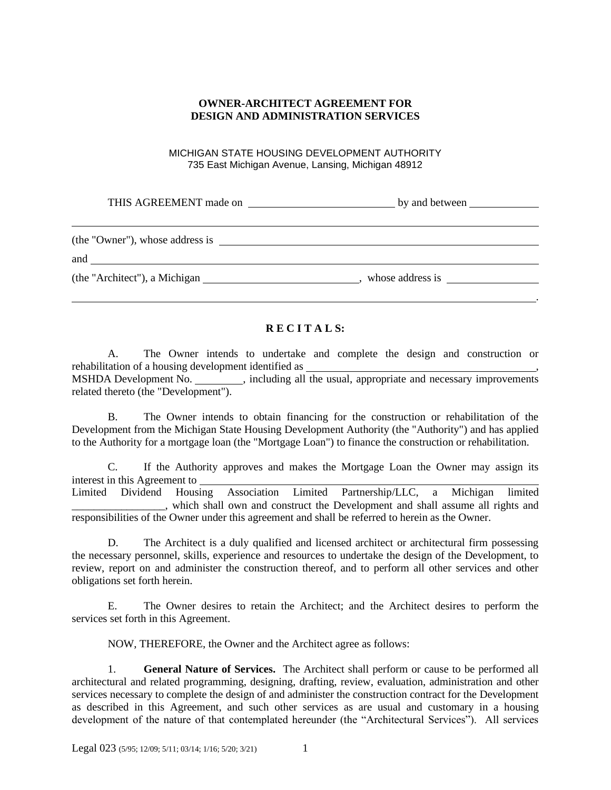## **OWNER-ARCHITECT AGREEMENT FOR DESIGN AND ADMINISTRATION SERVICES**

MICHIGAN STATE HOUSING DEVELOPMENT AUTHORITY 735 East Michigan Avenue, Lansing, Michigan 48912

THIS AGREEMENT made on **by and between** 

| (the "Owner"), whose address is |                  |  |
|---------------------------------|------------------|--|
| and                             |                  |  |
| (the "Architect"), a Michigan   | whose address is |  |

# **R E C I T A L S:**

.

A. The Owner intends to undertake and complete the design and construction or rehabilitation of a housing development identified as MSHDA Development No.  $\qquad \qquad$ , including all the usual, appropriate and necessary improvements related thereto (the "Development").

B. The Owner intends to obtain financing for the construction or rehabilitation of the Development from the Michigan State Housing Development Authority (the "Authority") and has applied to the Authority for a mortgage loan (the "Mortgage Loan") to finance the construction or rehabilitation.

C. If the Authority approves and makes the Mortgage Loan the Owner may assign its interest in this Agreement to Limited Dividend Housing Association Limited Partnership/LLC, a Michigan limited \_\_\_\_\_\_\_\_\_\_\_\_\_\_\_\_\_, which shall own and construct the Development and shall assume all rights and responsibilities of the Owner under this agreement and shall be referred to herein as the Owner.

D. The Architect is a duly qualified and licensed architect or architectural firm possessing the necessary personnel, skills, experience and resources to undertake the design of the Development, to review, report on and administer the construction thereof, and to perform all other services and other obligations set forth herein.

E. The Owner desires to retain the Architect; and the Architect desires to perform the services set forth in this Agreement.

NOW, THEREFORE, the Owner and the Architect agree as follows:

1. **General Nature of Services.** The Architect shall perform or cause to be performed all architectural and related programming, designing, drafting, review, evaluation, administration and other services necessary to complete the design of and administer the construction contract for the Development as described in this Agreement, and such other services as are usual and customary in a housing development of the nature of that contemplated hereunder (the "Architectural Services"). All services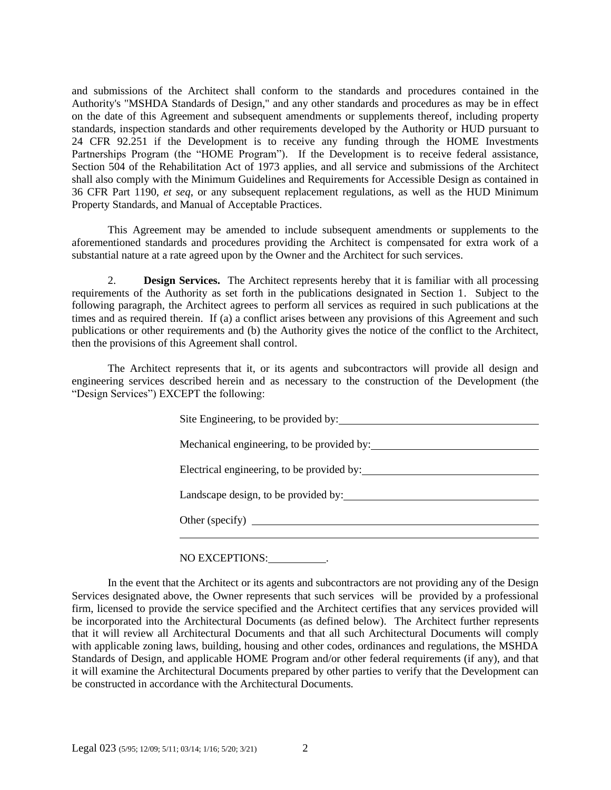and submissions of the Architect shall conform to the standards and procedures contained in the Authority's "MSHDA Standards of Design," and any other standards and procedures as may be in effect on the date of this Agreement and subsequent amendments or supplements thereof, including property standards, inspection standards and other requirements developed by the Authority or HUD pursuant to 24 CFR 92.251 if the Development is to receive any funding through the HOME Investments Partnerships Program (the "HOME Program"). If the Development is to receive federal assistance, Section 504 of the Rehabilitation Act of 1973 applies, and all service and submissions of the Architect shall also comply with the Minimum Guidelines and Requirements for Accessible Design as contained in 36 CFR Part 1190, *et seq*, or any subsequent replacement regulations, as well as the HUD Minimum Property Standards, and Manual of Acceptable Practices.

This Agreement may be amended to include subsequent amendments or supplements to the aforementioned standards and procedures providing the Architect is compensated for extra work of a substantial nature at a rate agreed upon by the Owner and the Architect for such services.

2. **Design Services.** The Architect represents hereby that it is familiar with all processing requirements of the Authority as set forth in the publications designated in Section 1. Subject to the following paragraph, the Architect agrees to perform all services as required in such publications at the times and as required therein. If (a) a conflict arises between any provisions of this Agreement and such publications or other requirements and (b) the Authority gives the notice of the conflict to the Architect, then the provisions of this Agreement shall control.

The Architect represents that it, or its agents and subcontractors will provide all design and engineering services described herein and as necessary to the construction of the Development (the "Design Services") EXCEPT the following:

| Site Engineering, to be provided by:       |
|--------------------------------------------|
| Mechanical engineering, to be provided by: |
| Electrical engineering, to be provided by: |
| Landscape design, to be provided by:       |
| Other (specify) $\qquad \qquad$            |
|                                            |

### NO EXCEPTIONS: .

In the event that the Architect or its agents and subcontractors are not providing any of the Design Services designated above, the Owner represents that such services will be provided by a professional firm, licensed to provide the service specified and the Architect certifies that any services provided will be incorporated into the Architectural Documents (as defined below). The Architect further represents that it will review all Architectural Documents and that all such Architectural Documents will comply with applicable zoning laws, building, housing and other codes, ordinances and regulations, the MSHDA Standards of Design, and applicable HOME Program and/or other federal requirements (if any), and that it will examine the Architectural Documents prepared by other parties to verify that the Development can be constructed in accordance with the Architectural Documents.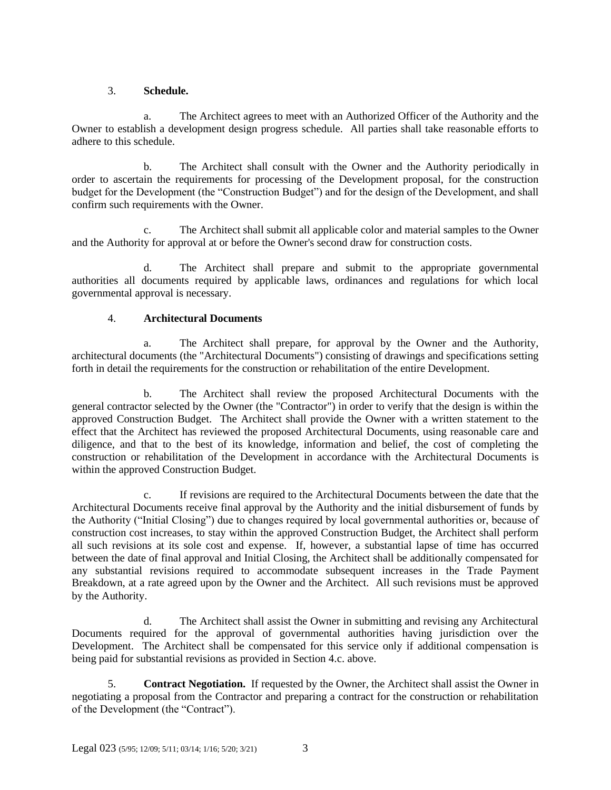## 3. **Schedule.**

a. The Architect agrees to meet with an Authorized Officer of the Authority and the Owner to establish a development design progress schedule. All parties shall take reasonable efforts to adhere to this schedule.

b. The Architect shall consult with the Owner and the Authority periodically in order to ascertain the requirements for processing of the Development proposal, for the construction budget for the Development (the "Construction Budget") and for the design of the Development, and shall confirm such requirements with the Owner.

c. The Architect shall submit all applicable color and material samples to the Owner and the Authority for approval at or before the Owner's second draw for construction costs.

d. The Architect shall prepare and submit to the appropriate governmental authorities all documents required by applicable laws, ordinances and regulations for which local governmental approval is necessary.

## 4. **Architectural Documents**

a. The Architect shall prepare, for approval by the Owner and the Authority, architectural documents (the "Architectural Documents") consisting of drawings and specifications setting forth in detail the requirements for the construction or rehabilitation of the entire Development.

b. The Architect shall review the proposed Architectural Documents with the general contractor selected by the Owner (the "Contractor") in order to verify that the design is within the approved Construction Budget. The Architect shall provide the Owner with a written statement to the effect that the Architect has reviewed the proposed Architectural Documents, using reasonable care and diligence, and that to the best of its knowledge, information and belief, the cost of completing the construction or rehabilitation of the Development in accordance with the Architectural Documents is within the approved Construction Budget.

c. If revisions are required to the Architectural Documents between the date that the Architectural Documents receive final approval by the Authority and the initial disbursement of funds by the Authority ("Initial Closing") due to changes required by local governmental authorities or, because of construction cost increases, to stay within the approved Construction Budget, the Architect shall perform all such revisions at its sole cost and expense. If, however, a substantial lapse of time has occurred between the date of final approval and Initial Closing, the Architect shall be additionally compensated for any substantial revisions required to accommodate subsequent increases in the Trade Payment Breakdown, at a rate agreed upon by the Owner and the Architect. All such revisions must be approved by the Authority.

d. The Architect shall assist the Owner in submitting and revising any Architectural Documents required for the approval of governmental authorities having jurisdiction over the Development. The Architect shall be compensated for this service only if additional compensation is being paid for substantial revisions as provided in Section 4.c. above.

5. **Contract Negotiation.** If requested by the Owner, the Architect shall assist the Owner in negotiating a proposal from the Contractor and preparing a contract for the construction or rehabilitation of the Development (the "Contract").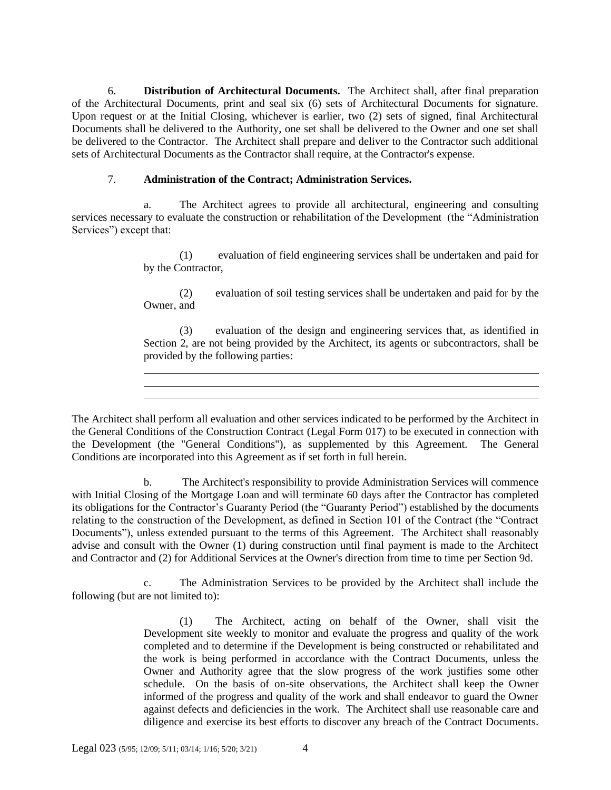6. **Distribution of Architectural Documents.** The Architect shall, after final preparation of the Architectural Documents, print and seal six (6) sets of Architectural Documents for signature. Upon request or at the Initial Closing, whichever is earlier, two (2) sets of signed, final Architectural Documents shall be delivered to the Authority, one set shall be delivered to the Owner and one set shall be delivered to the Contractor. The Architect shall prepare and deliver to the Contractor such additional sets of Architectural Documents as the Contractor shall require, at the Contractor's expense.

## 7. **Administration of the Contract; Administration Services.**

a. The Architect agrees to provide all architectural, engineering and consulting services necessary to evaluate the construction or rehabilitation of the Development (the "Administration Services") except that:

> (1) evaluation of field engineering services shall be undertaken and paid for by the Contractor,

> (2) evaluation of soil testing services shall be undertaken and paid for by the Owner, and

> (3) evaluation of the design and engineering services that, as identified in Section 2, are not being provided by the Architect, its agents or subcontractors, shall be provided by the following parties:

The Architect shall perform all evaluation and other services indicated to be performed by the Architect in the General Conditions of the Construction Contract (Legal Form 017) to be executed in connection with the Development (the "General Conditions"), as supplemented by this Agreement. The General Conditions are incorporated into this Agreement as if set forth in full herein.

b. The Architect's responsibility to provide Administration Services will commence with Initial Closing of the Mortgage Loan and will terminate 60 days after the Contractor has completed its obligations for the Contractor's Guaranty Period (the "Guaranty Period") established by the documents relating to the construction of the Development, as defined in Section 101 of the Contract (the "Contract Documents"), unless extended pursuant to the terms of this Agreement. The Architect shall reasonably advise and consult with the Owner (1) during construction until final payment is made to the Architect and Contractor and (2) for Additional Services at the Owner's direction from time to time per Section 9d.

c. The Administration Services to be provided by the Architect shall include the following (but are not limited to):

> (1) The Architect, acting on behalf of the Owner, shall visit the Development site weekly to monitor and evaluate the progress and quality of the work completed and to determine if the Development is being constructed or rehabilitated and the work is being performed in accordance with the Contract Documents, unless the Owner and Authority agree that the slow progress of the work justifies some other schedule. On the basis of on-site observations, the Architect shall keep the Owner informed of the progress and quality of the work and shall endeavor to guard the Owner against defects and deficiencies in the work. The Architect shall use reasonable care and diligence and exercise its best efforts to discover any breach of the Contract Documents.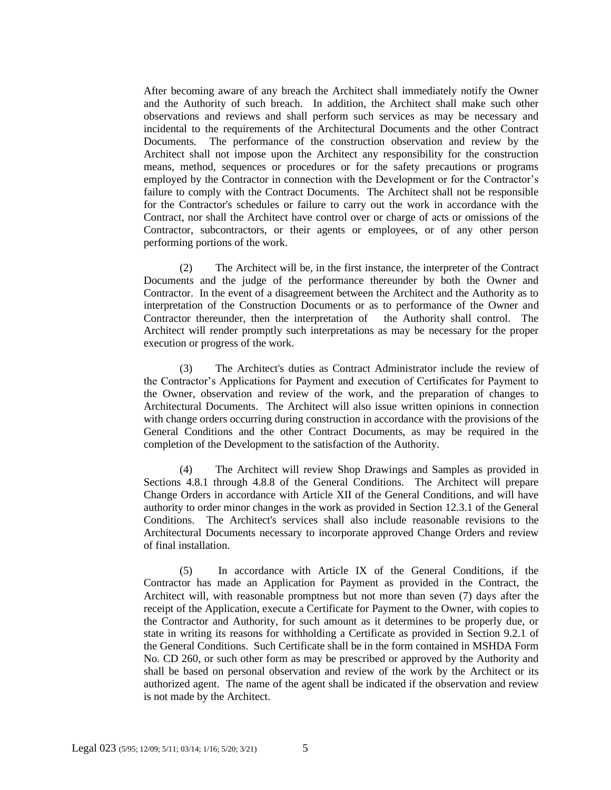After becoming aware of any breach the Architect shall immediately notify the Owner and the Authority of such breach. In addition, the Architect shall make such other observations and reviews and shall perform such services as may be necessary and incidental to the requirements of the Architectural Documents and the other Contract Documents. The performance of the construction observation and review by the Architect shall not impose upon the Architect any responsibility for the construction means, method, sequences or procedures or for the safety precautions or programs employed by the Contractor in connection with the Development or for the Contractor's failure to comply with the Contract Documents. The Architect shall not be responsible for the Contractor's schedules or failure to carry out the work in accordance with the Contract, nor shall the Architect have control over or charge of acts or omissions of the Contractor, subcontractors, or their agents or employees, or of any other person performing portions of the work.

(2) The Architect will be, in the first instance, the interpreter of the Contract Documents and the judge of the performance thereunder by both the Owner and Contractor. In the event of a disagreement between the Architect and the Authority as to interpretation of the Construction Documents or as to performance of the Owner and Contractor thereunder, then the interpretation of the Authority shall control. The Architect will render promptly such interpretations as may be necessary for the proper execution or progress of the work.

(3) The Architect's duties as Contract Administrator include the review of the Contractor's Applications for Payment and execution of Certificates for Payment to the Owner, observation and review of the work, and the preparation of changes to Architectural Documents. The Architect will also issue written opinions in connection with change orders occurring during construction in accordance with the provisions of the General Conditions and the other Contract Documents, as may be required in the completion of the Development to the satisfaction of the Authority.

(4) The Architect will review Shop Drawings and Samples as provided in Sections 4.8.1 through 4.8.8 of the General Conditions. The Architect will prepare Change Orders in accordance with Article XII of the General Conditions, and will have authority to order minor changes in the work as provided in Section 12.3.1 of the General Conditions. The Architect's services shall also include reasonable revisions to the Architectural Documents necessary to incorporate approved Change Orders and review of final installation.

(5) In accordance with Article IX of the General Conditions, if the Contractor has made an Application for Payment as provided in the Contract, the Architect will, with reasonable promptness but not more than seven (7) days after the receipt of the Application, execute a Certificate for Payment to the Owner, with copies to the Contractor and Authority, for such amount as it determines to be properly due, or state in writing its reasons for withholding a Certificate as provided in Section 9.2.1 of the General Conditions. Such Certificate shall be in the form contained in MSHDA Form No. CD 260, or such other form as may be prescribed or approved by the Authority and shall be based on personal observation and review of the work by the Architect or its authorized agent. The name of the agent shall be indicated if the observation and review is not made by the Architect.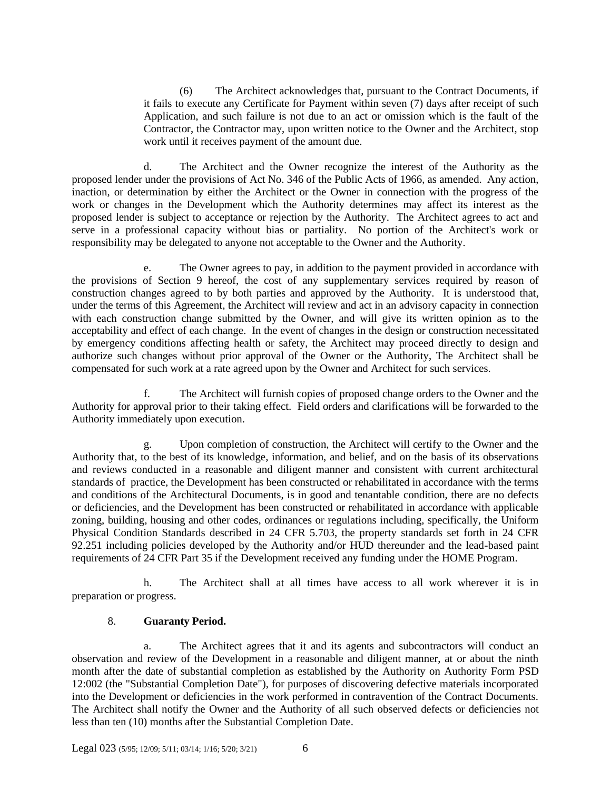(6) The Architect acknowledges that, pursuant to the Contract Documents, if it fails to execute any Certificate for Payment within seven (7) days after receipt of such Application, and such failure is not due to an act or omission which is the fault of the Contractor, the Contractor may, upon written notice to the Owner and the Architect, stop work until it receives payment of the amount due.

d. The Architect and the Owner recognize the interest of the Authority as the proposed lender under the provisions of Act No. 346 of the Public Acts of 1966, as amended. Any action, inaction, or determination by either the Architect or the Owner in connection with the progress of the work or changes in the Development which the Authority determines may affect its interest as the proposed lender is subject to acceptance or rejection by the Authority. The Architect agrees to act and serve in a professional capacity without bias or partiality. No portion of the Architect's work or responsibility may be delegated to anyone not acceptable to the Owner and the Authority.

e. The Owner agrees to pay, in addition to the payment provided in accordance with the provisions of Section 9 hereof, the cost of any supplementary services required by reason of construction changes agreed to by both parties and approved by the Authority. It is understood that, under the terms of this Agreement, the Architect will review and act in an advisory capacity in connection with each construction change submitted by the Owner, and will give its written opinion as to the acceptability and effect of each change. In the event of changes in the design or construction necessitated by emergency conditions affecting health or safety, the Architect may proceed directly to design and authorize such changes without prior approval of the Owner or the Authority, The Architect shall be compensated for such work at a rate agreed upon by the Owner and Architect for such services.

f. The Architect will furnish copies of proposed change orders to the Owner and the Authority for approval prior to their taking effect. Field orders and clarifications will be forwarded to the Authority immediately upon execution.

g. Upon completion of construction, the Architect will certify to the Owner and the Authority that, to the best of its knowledge, information, and belief, and on the basis of its observations and reviews conducted in a reasonable and diligent manner and consistent with current architectural standards of practice, the Development has been constructed or rehabilitated in accordance with the terms and conditions of the Architectural Documents, is in good and tenantable condition, there are no defects or deficiencies, and the Development has been constructed or rehabilitated in accordance with applicable zoning, building, housing and other codes, ordinances or regulations including, specifically, the Uniform Physical Condition Standards described in 24 CFR 5.703, the property standards set forth in 24 CFR 92.251 including policies developed by the Authority and/or HUD thereunder and the lead-based paint requirements of 24 CFR Part 35 if the Development received any funding under the HOME Program.

h. The Architect shall at all times have access to all work wherever it is in preparation or progress.

### 8. **Guaranty Period.**

a. The Architect agrees that it and its agents and subcontractors will conduct an observation and review of the Development in a reasonable and diligent manner, at or about the ninth month after the date of substantial completion as established by the Authority on Authority Form PSD 12:002 (the "Substantial Completion Date"), for purposes of discovering defective materials incorporated into the Development or deficiencies in the work performed in contravention of the Contract Documents. The Architect shall notify the Owner and the Authority of all such observed defects or deficiencies not less than ten (10) months after the Substantial Completion Date.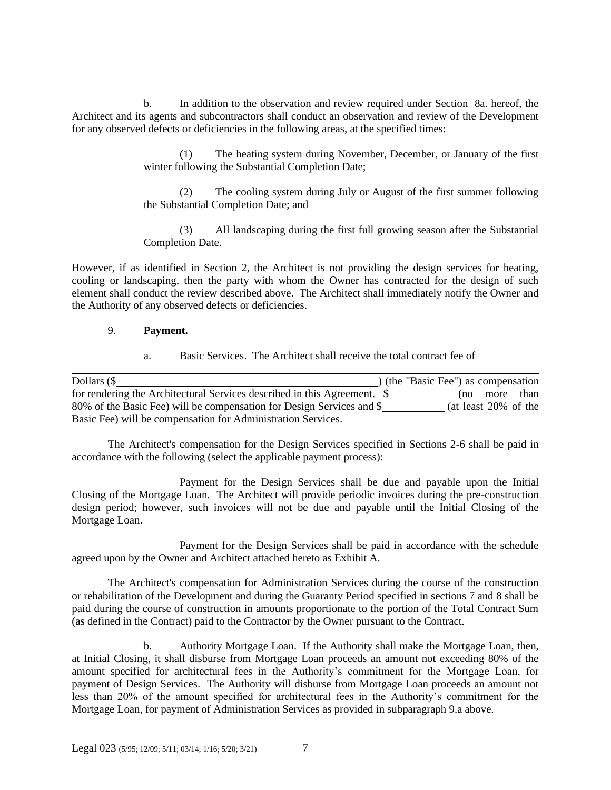b. In addition to the observation and review required under Section 8a. hereof, the Architect and its agents and subcontractors shall conduct an observation and review of the Development for any observed defects or deficiencies in the following areas, at the specified times:

> (1) The heating system during November, December, or January of the first winter following the Substantial Completion Date;

> (2) The cooling system during July or August of the first summer following the Substantial Completion Date; and

> (3) All landscaping during the first full growing season after the Substantial Completion Date.

However, if as identified in Section 2, the Architect is not providing the design services for heating, cooling or landscaping, then the party with whom the Owner has contracted for the design of such element shall conduct the review described above. The Architect shall immediately notify the Owner and the Authority of any observed defects or deficiencies.

#### 9. **Payment.**

a. Basic Services. The Architect shall receive the total contract fee of

| Dollars $(\$$                                                            |  | ) (the "Basic Fee") as compensation |               |
|--------------------------------------------------------------------------|--|-------------------------------------|---------------|
| for rendering the Architectural Services described in this Agreement. \$ |  |                                     | (no more than |
| 80% of the Basic Fee) will be compensation for Design Services and \$    |  | (at least $20\%$ of the             |               |
| Basic Fee) will be compensation for Administration Services.             |  |                                     |               |

The Architect's compensation for the Design Services specified in Sections 2-6 shall be paid in accordance with the following (select the applicable payment process):

Payment for the Design Services shall be due and payable upon the Initial Closing of the Mortgage Loan. The Architect will provide periodic invoices during the pre-construction design period; however, such invoices will not be due and payable until the Initial Closing of the Mortgage Loan.

Payment for the Design Services shall be paid in accordance with the schedule agreed upon by the Owner and Architect attached hereto as Exhibit A.

The Architect's compensation for Administration Services during the course of the construction or rehabilitation of the Development and during the Guaranty Period specified in sections 7 and 8 shall be paid during the course of construction in amounts proportionate to the portion of the Total Contract Sum (as defined in the Contract) paid to the Contractor by the Owner pursuant to the Contract.

b. Authority Mortgage Loan. If the Authority shall make the Mortgage Loan, then, at Initial Closing, it shall disburse from Mortgage Loan proceeds an amount not exceeding 80% of the amount specified for architectural fees in the Authority's commitment for the Mortgage Loan, for payment of Design Services. The Authority will disburse from Mortgage Loan proceeds an amount not less than 20% of the amount specified for architectural fees in the Authority's commitment for the Mortgage Loan, for payment of Administration Services as provided in subparagraph 9.a above.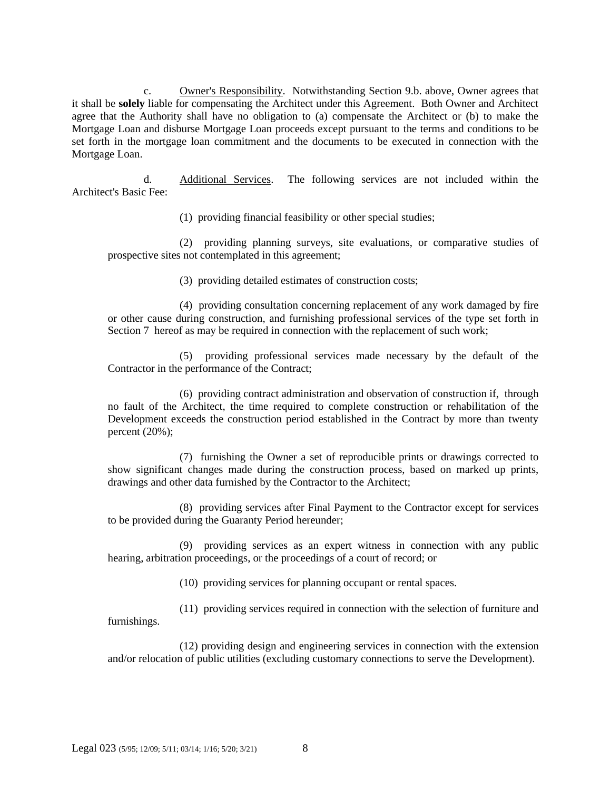c. Owner's Responsibility. Notwithstanding Section 9.b. above, Owner agrees that it shall be **solely** liable for compensating the Architect under this Agreement. Both Owner and Architect agree that the Authority shall have no obligation to (a) compensate the Architect or (b) to make the Mortgage Loan and disburse Mortgage Loan proceeds except pursuant to the terms and conditions to be set forth in the mortgage loan commitment and the documents to be executed in connection with the Mortgage Loan.

d. Additional Services. The following services are not included within the Architect's Basic Fee:

(1) providing financial feasibility or other special studies;

(2) providing planning surveys, site evaluations, or comparative studies of prospective sites not contemplated in this agreement;

(3) providing detailed estimates of construction costs;

(4) providing consultation concerning replacement of any work damaged by fire or other cause during construction, and furnishing professional services of the type set forth in Section 7 hereof as may be required in connection with the replacement of such work;

(5) providing professional services made necessary by the default of the Contractor in the performance of the Contract;

(6) providing contract administration and observation of construction if, through no fault of the Architect, the time required to complete construction or rehabilitation of the Development exceeds the construction period established in the Contract by more than twenty percent (20%);

(7) furnishing the Owner a set of reproducible prints or drawings corrected to show significant changes made during the construction process, based on marked up prints, drawings and other data furnished by the Contractor to the Architect;

(8) providing services after Final Payment to the Contractor except for services to be provided during the Guaranty Period hereunder;

(9) providing services as an expert witness in connection with any public hearing, arbitration proceedings, or the proceedings of a court of record; or

(10) providing services for planning occupant or rental spaces.

(11) providing services required in connection with the selection of furniture and furnishings.

(12) providing design and engineering services in connection with the extension and/or relocation of public utilities (excluding customary connections to serve the Development).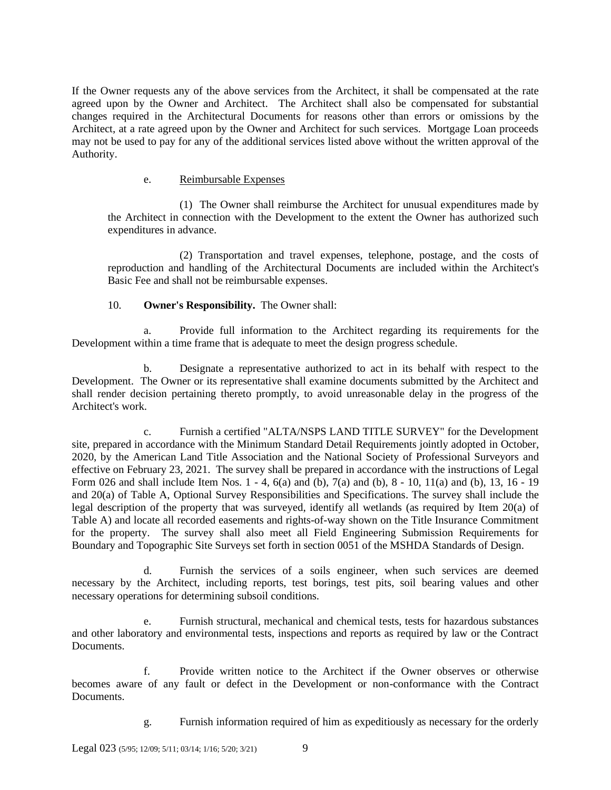If the Owner requests any of the above services from the Architect, it shall be compensated at the rate agreed upon by the Owner and Architect. The Architect shall also be compensated for substantial changes required in the Architectural Documents for reasons other than errors or omissions by the Architect, at a rate agreed upon by the Owner and Architect for such services. Mortgage Loan proceeds may not be used to pay for any of the additional services listed above without the written approval of the Authority.

#### e. Reimbursable Expenses

(1) The Owner shall reimburse the Architect for unusual expenditures made by the Architect in connection with the Development to the extent the Owner has authorized such expenditures in advance.

(2) Transportation and travel expenses, telephone, postage, and the costs of reproduction and handling of the Architectural Documents are included within the Architect's Basic Fee and shall not be reimbursable expenses.

## 10. **Owner's Responsibility.** The Owner shall:

a. Provide full information to the Architect regarding its requirements for the Development within a time frame that is adequate to meet the design progress schedule.

b. Designate a representative authorized to act in its behalf with respect to the Development. The Owner or its representative shall examine documents submitted by the Architect and shall render decision pertaining thereto promptly, to avoid unreasonable delay in the progress of the Architect's work.

c. Furnish a certified "ALTA/NSPS LAND TITLE SURVEY" for the Development site, prepared in accordance with the Minimum Standard Detail Requirements jointly adopted in October, 2020, by the American Land Title Association and the National Society of Professional Surveyors and effective on February 23, 2021. The survey shall be prepared in accordance with the instructions of Legal Form 026 and shall include Item Nos. 1 - 4, 6(a) and (b), 7(a) and (b), 8 - 10, 11(a) and (b), 13, 16 - 19 and 20(a) of Table A, Optional Survey Responsibilities and Specifications. The survey shall include the legal description of the property that was surveyed, identify all wetlands (as required by Item 20(a) of Table A) and locate all recorded easements and rights-of-way shown on the Title Insurance Commitment for the property. The survey shall also meet all Field Engineering Submission Requirements for Boundary and Topographic Site Surveys set forth in section 0051 of the MSHDA Standards of Design.

d. Furnish the services of a soils engineer, when such services are deemed necessary by the Architect, including reports, test borings, test pits, soil bearing values and other necessary operations for determining subsoil conditions.

e. Furnish structural, mechanical and chemical tests, tests for hazardous substances and other laboratory and environmental tests, inspections and reports as required by law or the Contract Documents.

f. Provide written notice to the Architect if the Owner observes or otherwise becomes aware of any fault or defect in the Development or non-conformance with the Contract Documents.

g. Furnish information required of him as expeditiously as necessary for the orderly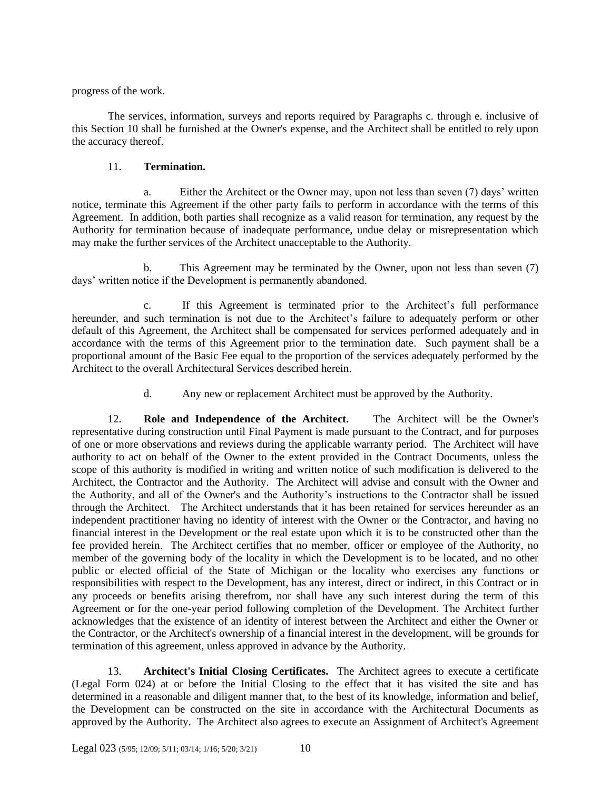progress of the work.

The services, information, surveys and reports required by Paragraphs c. through e. inclusive of this Section 10 shall be furnished at the Owner's expense, and the Architect shall be entitled to rely upon the accuracy thereof.

# 11. **Termination.**

a. Either the Architect or the Owner may, upon not less than seven (7) days' written notice, terminate this Agreement if the other party fails to perform in accordance with the terms of this Agreement. In addition, both parties shall recognize as a valid reason for termination, any request by the Authority for termination because of inadequate performance, undue delay or misrepresentation which may make the further services of the Architect unacceptable to the Authority.

b. This Agreement may be terminated by the Owner, upon not less than seven (7) days' written notice if the Development is permanently abandoned.

c. If this Agreement is terminated prior to the Architect's full performance hereunder, and such termination is not due to the Architect's failure to adequately perform or other default of this Agreement, the Architect shall be compensated for services performed adequately and in accordance with the terms of this Agreement prior to the termination date. Such payment shall be a proportional amount of the Basic Fee equal to the proportion of the services adequately performed by the Architect to the overall Architectural Services described herein.

d. Any new or replacement Architect must be approved by the Authority.

12. **Role and Independence of the Architect.** The Architect will be the Owner's representative during construction until Final Payment is made pursuant to the Contract, and for purposes of one or more observations and reviews during the applicable warranty period. The Architect will have authority to act on behalf of the Owner to the extent provided in the Contract Documents, unless the scope of this authority is modified in writing and written notice of such modification is delivered to the Architect, the Contractor and the Authority. The Architect will advise and consult with the Owner and the Authority, and all of the Owner's and the Authority's instructions to the Contractor shall be issued through the Architect. The Architect understands that it has been retained for services hereunder as an independent practitioner having no identity of interest with the Owner or the Contractor, and having no financial interest in the Development or the real estate upon which it is to be constructed other than the fee provided herein. The Architect certifies that no member, officer or employee of the Authority, no member of the governing body of the locality in which the Development is to be located, and no other public or elected official of the State of Michigan or the locality who exercises any functions or responsibilities with respect to the Development, has any interest, direct or indirect, in this Contract or in any proceeds or benefits arising therefrom, nor shall have any such interest during the term of this Agreement or for the one-year period following completion of the Development. The Architect further acknowledges that the existence of an identity of interest between the Architect and either the Owner or the Contractor, or the Architect's ownership of a financial interest in the development, will be grounds for termination of this agreement, unless approved in advance by the Authority.

13. **Architect's Initial Closing Certificates.** The Architect agrees to execute a certificate (Legal Form 024) at or before the Initial Closing to the effect that it has visited the site and has determined in a reasonable and diligent manner that, to the best of its knowledge, information and belief, the Development can be constructed on the site in accordance with the Architectural Documents as approved by the Authority. The Architect also agrees to execute an Assignment of Architect's Agreement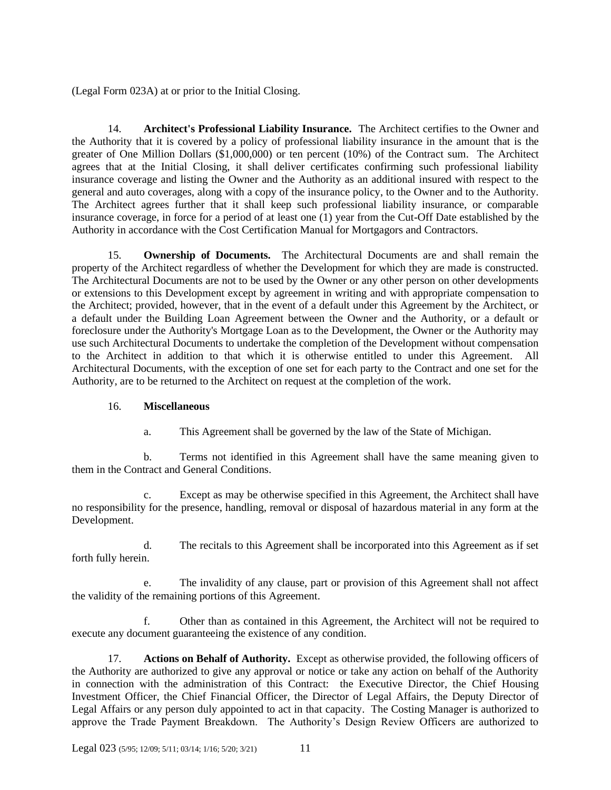(Legal Form 023A) at or prior to the Initial Closing.

14. **Architect's Professional Liability Insurance.** The Architect certifies to the Owner and the Authority that it is covered by a policy of professional liability insurance in the amount that is the greater of One Million Dollars (\$1,000,000) or ten percent (10%) of the Contract sum. The Architect agrees that at the Initial Closing, it shall deliver certificates confirming such professional liability insurance coverage and listing the Owner and the Authority as an additional insured with respect to the general and auto coverages, along with a copy of the insurance policy, to the Owner and to the Authority. The Architect agrees further that it shall keep such professional liability insurance, or comparable insurance coverage, in force for a period of at least one (1) year from the Cut-Off Date established by the Authority in accordance with the Cost Certification Manual for Mortgagors and Contractors.

15. **Ownership of Documents.** The Architectural Documents are and shall remain the property of the Architect regardless of whether the Development for which they are made is constructed. The Architectural Documents are not to be used by the Owner or any other person on other developments or extensions to this Development except by agreement in writing and with appropriate compensation to the Architect; provided, however, that in the event of a default under this Agreement by the Architect, or a default under the Building Loan Agreement between the Owner and the Authority, or a default or foreclosure under the Authority's Mortgage Loan as to the Development, the Owner or the Authority may use such Architectural Documents to undertake the completion of the Development without compensation to the Architect in addition to that which it is otherwise entitled to under this Agreement. All Architectural Documents, with the exception of one set for each party to the Contract and one set for the Authority, are to be returned to the Architect on request at the completion of the work.

# 16. **Miscellaneous**

a. This Agreement shall be governed by the law of the State of Michigan.

b. Terms not identified in this Agreement shall have the same meaning given to them in the Contract and General Conditions.

c. Except as may be otherwise specified in this Agreement, the Architect shall have no responsibility for the presence, handling, removal or disposal of hazardous material in any form at the Development.

d. The recitals to this Agreement shall be incorporated into this Agreement as if set forth fully herein.

e. The invalidity of any clause, part or provision of this Agreement shall not affect the validity of the remaining portions of this Agreement.

f. Other than as contained in this Agreement, the Architect will not be required to execute any document guaranteeing the existence of any condition.

17. **Actions on Behalf of Authority.** Except as otherwise provided, the following officers of the Authority are authorized to give any approval or notice or take any action on behalf of the Authority in connection with the administration of this Contract: the Executive Director, the Chief Housing Investment Officer, the Chief Financial Officer, the Director of Legal Affairs, the Deputy Director of Legal Affairs or any person duly appointed to act in that capacity. The Costing Manager is authorized to approve the Trade Payment Breakdown. The Authority's Design Review Officers are authorized to